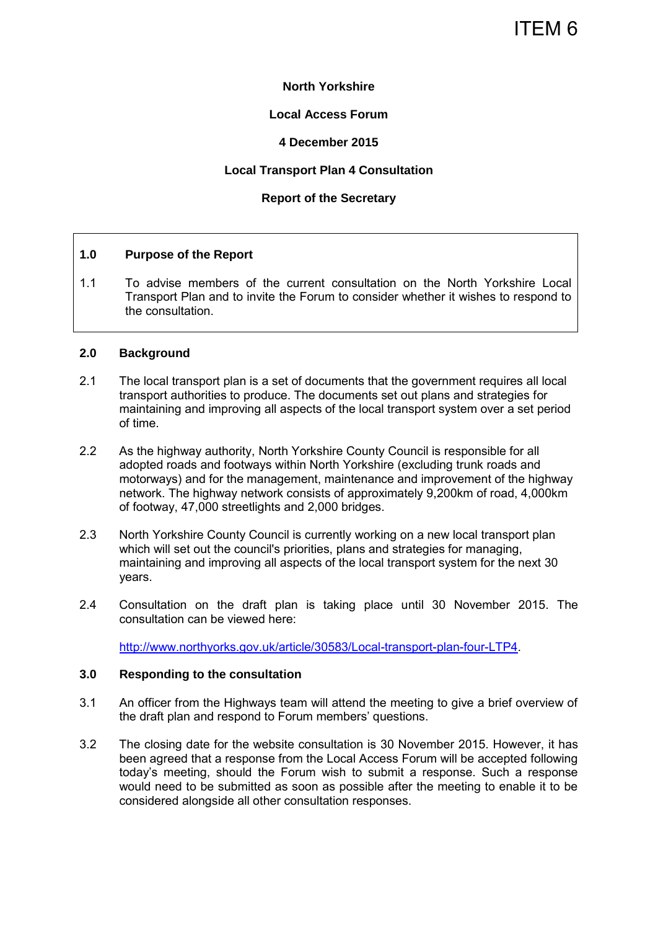# ITEM 6

#### **North Yorkshire**

#### **Local Access Forum**

## **4 December 2015**

### **Local Transport Plan 4 Consultation**

#### **Report of the Secretary**

#### **1.0 Purpose of the Report**

1.1 To advise members of the current consultation on the North Yorkshire Local Transport Plan and to invite the Forum to consider whether it wishes to respond to the consultation.

#### **2.0 Background**

- 2.1 The local transport plan is a set of documents that the government requires all local transport authorities to produce. The documents set out plans and strategies for maintaining and improving all aspects of the local transport system over a set period of time.
- 2.2 As the highway authority, North Yorkshire County Council is responsible for all adopted roads and footways within North Yorkshire (excluding trunk roads and motorways) and for the management, maintenance and improvement of the highway network. The highway network consists of approximately 9,200km of road, 4,000km of footway, 47,000 streetlights and 2,000 bridges.
- 2.3 North Yorkshire County Council is currently working on a new local transport plan which will set out the council's priorities, plans and strategies for managing, maintaining and improving all aspects of the local transport system for the next 30 years.
- 2.4 Consultation on the draft plan is taking place until 30 November 2015. The consultation can be viewed here:

[http://www.northyorks.gov.uk/article/30583/Local-transport-plan-four-LTP4.](http://www.northyorks.gov.uk/article/30583/Local-transport-plan-four-LTP4)

#### **3.0 Responding to the consultation**

- 3.1 An officer from the Highways team will attend the meeting to give a brief overview of the draft plan and respond to Forum members' questions.
- 3.2 The closing date for the website consultation is 30 November 2015. However, it has been agreed that a response from the Local Access Forum will be accepted following today's meeting, should the Forum wish to submit a response. Such a response would need to be submitted as soon as possible after the meeting to enable it to be considered alongside all other consultation responses.